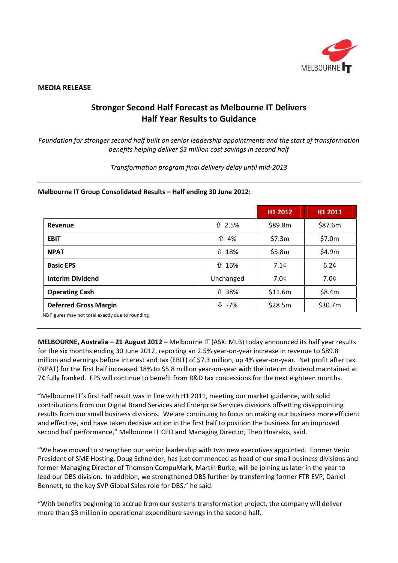

# **MEDIA RELEASE**

# **Stronger Second Half Forecast as Melbourne IT Delivers Half Year Results to Guidance**

*Foundation for stronger second half built on senior leadership appointments and the start of transformation benefits helping deliver \$3 million cost savings in second half*

*Transformation program final delivery delay until mid‐2013*

# **Melbourne IT Group Consolidated Results – Half ending 30 June 2012:**

|                              |                       | H1 2012 | H1 2011 |
|------------------------------|-----------------------|---------|---------|
| Revenue                      | ↑ 2.5%                | \$89.8m | \$87.6m |
| <b>EBIT</b>                  | ⇧<br>4%               | \$7.3m  | \$7.0m  |
| <b>NPAT</b>                  | ↑ 18%                 | \$5.8m  | \$4.9m  |
| <b>Basic EPS</b>             | ↑ 16%                 | 7.1c    | 6.2c    |
| <b>Interim Dividend</b>      | Unchanged             | 7.0¢    | 7.0c    |
| <b>Operating Cash</b>        | ↑ 38%                 | \$11.6m | \$8.4m  |
| <b>Deferred Gross Margin</b> | $\overline{\psi}$ -7% | \$28.5m | \$30.7m |

NB Figures may not total exactly due to rounding

**MELBOURNE, Australia – 21 August 2012 –** Melbourne IT (ASX: MLB) today announced its half year results for the six months ending 30 June 2012, reporting an 2.5% year-on-year increase in revenue to \$89.8 million and earnings before interest and tax (EBIT) of \$7.3 million, up 4% year-on-year. Net profit after tax (NPAT) for the first half increased 18% to \$5.8 million year‐on‐year with the interim dividend maintained at 7¢ fully franked. EPS will continue to benefit from R&D tax concessions for the next eighteen months.

"Melbourne IT's first half result was in line with H1 2011, meeting our market guidance, with solid contributions from our Digital Brand Services and Enterprise Services divisions offsetting disappointing results from our small business divisions. We are continuing to focus on making our business more efficient and effective, and have taken decisive action in the first half to position the business for an improved second half performance," Melbourne IT CEO and Managing Director, Theo Hnarakis, said.

"We have moved to strengthen our senior leadership with two new executives appointed. Former Verio President of SME Hosting, Doug Schneider, has just commenced as head of our small business divisions and former Managing Director of Thomson CompuMark, Martin Burke, will be joining us later in the year to lead our DBS division. In addition, we strengthened DBS further by transferring former FTR EVP, Daniel Bennett, to the key SVP Global Sales role for DBS," he said.

"With benefits beginning to accrue from our systems transformation project, the company will deliver more than \$3 million in operational expenditure savings in the second half.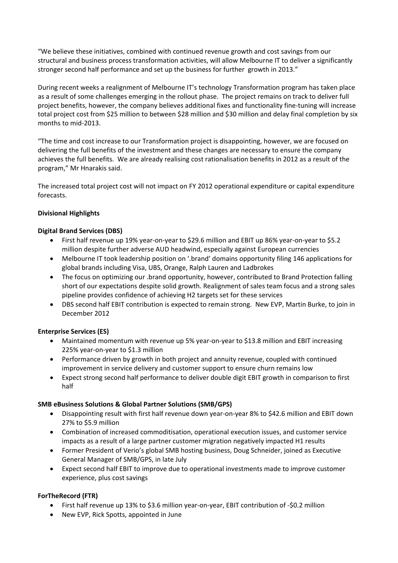"We believe these initiatives, combined with continued revenue growth and cost savings from our structural and business process transformation activities, will allow Melbourne IT to deliver a significantly stronger second half performance and set up the business for further growth in 2013."

During recent weeks a realignment of Melbourne IT's technology Transformation program has taken place as a result of some challenges emerging in the rollout phase. The project remains on track to deliver full project benefits, however, the company believes additional fixes and functionality fine‐tuning will increase total project cost from \$25 million to between \$28 million and \$30 million and delay final completion by six months to mid‐2013.

"The time and cost increase to our Transformation project is disappointing, however, we are focused on delivering the full benefits of the investment and these changes are necessary to ensure the company achieves the full benefits. We are already realising cost rationalisation benefits in 2012 as a result of the program," Mr Hnarakis said.

The increased total project cost will not impact on FY 2012 operational expenditure or capital expenditure forecasts.

# **Divisional Highlights**

# **Digital Brand Services (DBS)**

- First half revenue up 19% year‐on‐year to \$29.6 million and EBIT up 86% year‐on‐year to \$5.2 million despite further adverse AUD headwind, especially against European currencies
- Melbourne IT took leadership position on '.brand' domains opportunity filing 146 applications for global brands including Visa, UBS, Orange, Ralph Lauren and Ladbrokes
- The focus on optimizing our .brand opportunity, however, contributed to Brand Protection falling short of our expectations despite solid growth. Realignment of sales team focus and a strong sales pipeline provides confidence of achieving H2 targets set for these services
- DBS second half EBIT contribution is expected to remain strong. New EVP, Martin Burke, to join in December 2012

# **Enterprise Services (ES)**

- Maintained momentum with revenue up 5% year-on-year to \$13.8 million and EBIT increasing 225% year‐on‐year to \$1.3 million
- Performance driven by growth in both project and annuity revenue, coupled with continued improvement in service delivery and customer support to ensure churn remains low
- Expect strong second half performance to deliver double digit EBIT growth in comparison to first half

# **SMB eBusiness Solutions & Global Partner Solutions (SMB/GPS)**

- Disappointing result with first half revenue down year‐on‐year 8% to \$42.6 million and EBIT down 27% to \$5.9 million
- Combination of increased commoditisation, operational execution issues, and customer service impacts as a result of a large partner customer migration negatively impacted H1 results
- Former President of Verio's global SMB hosting business, Doug Schneider, joined as Executive General Manager of SMB/GPS, in late July
- Expect second half EBIT to improve due to operational investments made to improve customer experience, plus cost savings

# **ForTheRecord (FTR)**

- First half revenue up 13% to \$3.6 million year‐on‐year, EBIT contribution of ‐\$0.2 million
- New EVP, Rick Spotts, appointed in June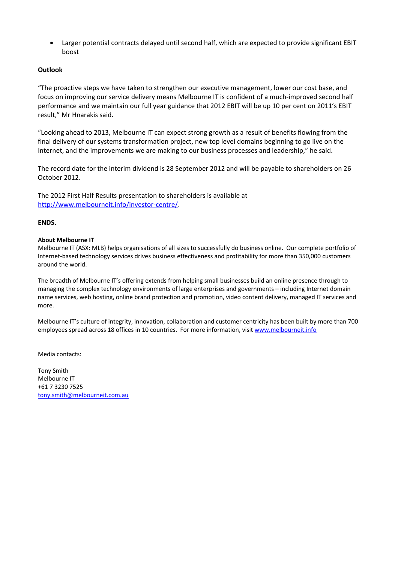Larger potential contracts delayed until second half, which are expected to provide significant EBIT boost

# **Outlook**

"The proactive steps we have taken to strengthen our executive management, lower our cost base, and focus on improving our service delivery means Melbourne IT is confident of a much-improved second half performance and we maintain our full year guidance that 2012 EBIT will be up 10 per cent on 2011's EBIT result," Mr Hnarakis said.

"Looking ahead to 2013, Melbourne IT can expect strong growth as a result of benefits flowing from the final delivery of our systems transformation project, new top level domains beginning to go live on the Internet, and the improvements we are making to our business processes and leadership," he said.

The record date for the interim dividend is 28 September 2012 and will be payable to shareholders on 26 October 2012.

The 2012 First Half Results presentation to shareholders is available at http://www.melbourneit.info/investor‐centre/.

# **ENDS.**

# **About Melbourne IT**

Melbourne IT (ASX: MLB) helps organisations of all sizes to successfully do business online. Our complete portfolio of Internet‐based technology services drives business effectiveness and profitability for more than 350,000 customers around the world.

The breadth of Melbourne IT's offering extends from helping small businesses build an online presence through to managing the complex technology environments of large enterprises and governments – including Internet domain name services, web hosting, online brand protection and promotion, video content delivery, managed IT services and more.

Melbourne IT's culture of integrity, innovation, collaboration and customer centricity has been built by more than 700 employees spread across 18 offices in 10 countries. For more information, visit www.melbourneit.info

Media contacts:

Tony Smith Melbourne IT +61 7 3230 7525 tony.smith@melbourneit.com.au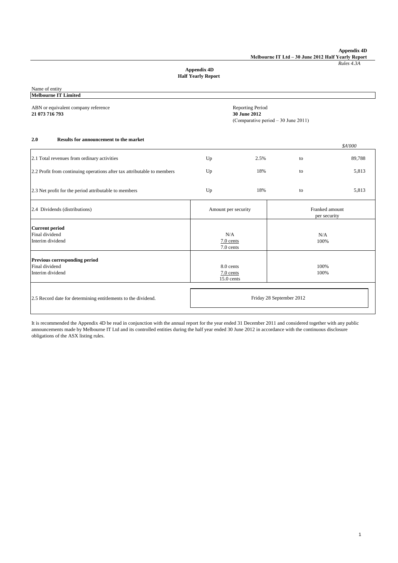**Appendix 4D Melbourne IT Ltd – 30 June 2012 Half Yearly Report**

*Rules 4.3A*

## **Appendix 4D Half Yearly Report**

Name of entity **Melbourne IT Limited**

ABN or equivalent company reference **Reporting Period** Reporting Period **21 073 716 793 30 June 2012**

(Comparative period – 30 June 2011)

### **2.0 Results for announcement to the market**

|                                                                         |                                          |      |                                | \$A'000 |
|-------------------------------------------------------------------------|------------------------------------------|------|--------------------------------|---------|
| 2.1 Total revenues from ordinary activities                             | Up                                       | 2.5% | to                             | 89,788  |
| 2.2 Profit from continuing operations after tax attributable to members | Up                                       | 18%  | to                             | 5,813   |
| 2.3 Net profit for the period attributable to members                   | Up                                       | 18%  | to                             | 5,813   |
| 2.4 Dividends (distributions)                                           | Amount per security                      |      | Franked amount<br>per security |         |
| <b>Current period</b><br>Final dividend<br>Interim dividend             | N/A<br>7.0 cents<br>7.0 cents            |      | N/A<br>100%                    |         |
| Previous corresponding period<br>Final dividend<br>Interim dividend     | 8.0 cents<br>$7.0$ cents<br>$15.0$ cents |      | 100%<br>100%                   |         |
| 2.5 Record date for determining entitlements to the dividend.           | Friday 28 September 2012                 |      |                                |         |

It is recommended the Appendix 4D be read in conjunction with the annual report for the year ended 31 December 2011 and considered together with any public announcements made by Melbourne IT Ltd and its controlled entities during the half year ended 30 June 2012 in accordance with the continuous disclosure obligations of the ASX listing rules.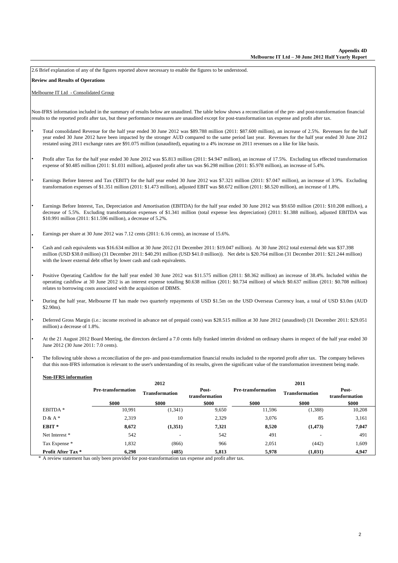2.6 Brief explanation of any of the figures reported above necessary to enable the figures to be understood.

**Review and Results of Operations**

•

•

•

•

•

•

•

### Melbourne IT Ltd - Consolidated Group

Non-IFRS information included in the summary of results below are unaudited. The table below shows a reconciliation of the pre- and post-transformation financial results to the reported profit after tax, but these performance measures are unaudited except for post-transformation tax expense and profit after tax.

- Total consolidated Revenue for the half year ended 30 June 2012 was \$89.788 million (2011: \$87.600 million), an increase of 2.5%. Revenues for the half year ended 30 June 2012 have been impacted by the stronger AUD compared to the same period last year. Revenues for the half year ended 30 June 2012 restated using 2011 exchange rates are \$91.075 million (unaudited), equating to a 4% increase on 2011 revenues on a like for like basis.
- Profit after Tax for the half year ended 30 June 2012 was \$5.813 million (2011: \$4.947 million), an increase of 17.5%. Excluding tax effected transformation expense of \$0.485 million (2011: \$1.031 million), adjusted profit after tax was \$6.298 million (2011: \$5.978 million), an increase of 5.4%.
- Earnings Before Interest and Tax ('EBIT') for the half year ended 30 June 2012 was \$7.321 million (2011: \$7.047 million), an increase of 3.9%. Excluding transformation expenses of \$1.351 million (2011: \$1.473 million), adjusted EBIT was \$8.672 million (2011: \$8.520 million), an increase of 1.8%.
- Earnings Before Interest, Tax, Depreciation and Amortisation (EBITDA) for the half year ended 30 June 2012 was \$9.650 million (2011: \$10.208 million), a decrease of 5.5%. Excluding transformation expenses of \$1.341 million (total expense less depreciation) (2011: \$1.388 million), adjusted EBITDA was \$10.991 million (2011: \$11.596 million), a decrease of 5.2%.

Earnings per share at 30 June 2012 was 7.12 cents (2011: 6.16 cents), an increase of 15.6%.

- Cash and cash equivalents was \$16.634 million at 30 June 2012 (31 December 2011: \$19.047 million). At 30 June 2012 total external debt was \$37.398 million (USD \$38.0 million) (31 December 2011: \$40.291 million (USD \$41.0 million)). Net debt is \$20.764 million (31 December 2011: \$21.244 million) with the lower external debt offset by lower cash and cash equivalents.
- Positive Operating Cashflow for the half year ended 30 June 2012 was \$11.575 million (2011: \$8.362 million) an increase of 38.4%. Included within the operating cashflow at 30 June 2012 is an interest expense totalling \$0.638 million (2011: \$0.734 million) of which \$0.637 million (2011: \$0.708 million) relates to borrowing costs associated with the acquisition of DBMS.
- During the half year, Melbourne IT has made two quarterly repayments of USD \$1.5m on the USD Overseas Currency loan, a total of USD \$3.0m (AUD  $$2.90m$
- Deferred Gross Margin (i.e.: income received in advance net of prepaid costs) was \$28.515 million at 30 June 2012 (unaudited) (31 December 2011: \$29.051 million) a decrease of 1.8%.
- At the 21 August 2012 Board Meeting, the directors declared a 7.0 cents fully franked interim dividend on ordinary shares in respect of the half year ended 30 June 2012 (30 June 2011: 7.0 cents).
- The following table shows a reconciliation of the pre- and post-transformation financial results included to the reported profit after tax. The company believes that this non-IFRS information is relevant to the user's understanding of its results, given the significant value of the transformation investment being made.

| <b>Non-IFRS</b> information |                           |                       |                         |                           |                       |                         |
|-----------------------------|---------------------------|-----------------------|-------------------------|---------------------------|-----------------------|-------------------------|
|                             |                           | 2012                  |                         |                           | 2011                  |                         |
|                             | <b>Pre-transformation</b> | <b>Transformation</b> | Post-<br>transformation | <b>Pre-transformation</b> | <b>Transformation</b> | Post-<br>transformation |
|                             | \$000                     | \$000                 | \$000                   | \$000                     | \$000                 | \$000                   |
| EBITDA <sup>*</sup>         | 10,991                    | (1,341)               | 9,650                   | 11,596                    | (1,388)               | 10,208                  |
| $D & A *$                   | 2,319                     | 10                    | 2,329                   | 3,076                     | 85                    | 3,161                   |
| EBIT <sup>*</sup>           | 8,672                     | (1,351)               | 7,321                   | 8,520                     | (1, 473)              | 7,047                   |
| Net Interest *              | 542                       | -                     | 542                     | 491                       |                       | 491                     |
| Tax Expense *               | 1,832                     | (866)                 | 966                     | 2,051                     | (442)                 | 1,609                   |
| <b>Profit After Tax*</b>    | 6.298                     | (485)                 | 5,813                   | 5,978                     | (1,031)               | 4,947                   |

\* A review statement has only been provided for post-transformation tax expense and profit after tax.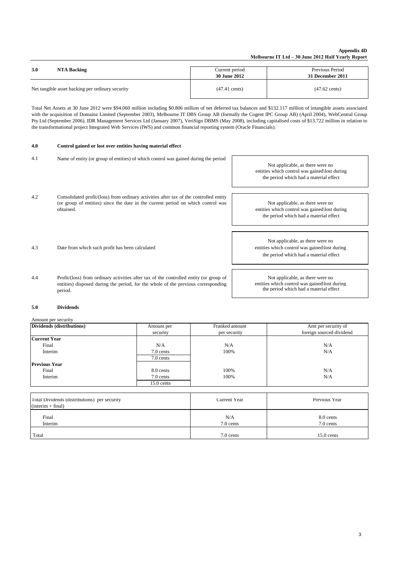### **Appendix 4D Melbourne IT Ltd – 30 June 2012 Half Yearly Report**

| 3.0                                              | Current period          | Previous Period         |
|--------------------------------------------------|-------------------------|-------------------------|
| NTA Backing                                      | <b>30 June 2012</b>     | 31 December 2011        |
| Net tangible asset backing per ordinary security | $(47.41 \text{ cents})$ | $(47.62 \text{ cents})$ |

Total Net Assets at 30 June 2012 were \$94.060 million including \$0.806 million of net deferred tax balances and \$132.117 million of intangible assets associated with the acquisition of Domainz Limited (September 2003), Melbourne IT DBS Group AB (formally the Cogent IPC Group AB) (April 2004), WebCentral Group Pty Ltd (September 2006), IDR Management Services Ltd (January 2007), VeriSign DBMS (May 2008), including capitalised costs of \$13.722 million in relation to the transformational project Integrated Web Services (IWS) and common financial reporting system (Oracle Financials).

### **4.0 Control gained or lost over entities having material effect**

| 4.1 | Name of entity (or group of entities) of which control was gained during the period                                                                                                     | Not applicable, as there were no<br>entities which control was gained\lost during<br>the period which had a material effect |
|-----|-----------------------------------------------------------------------------------------------------------------------------------------------------------------------------------------|-----------------------------------------------------------------------------------------------------------------------------|
| 4.2 | Consolidated profit/(loss) from ordinary activities after tax of the controlled entity<br>(or group of entities) since the date in the current period on which control was<br>obtained. | Not applicable, as there were no<br>entities which control was gained\lost during<br>the period which had a material effect |
| 4.3 | Date from which such profit has been calculated                                                                                                                                         | Not applicable, as there were no<br>entities which control was gained\lost during<br>the period which had a material effect |
| 4.4 | Profit/(loss) from ordinary activities after tax of the controlled entity (or group of<br>entities) disposed during the period, for the whole of the previous corresponding<br>neriod   | Not applicable, as there were no<br>entities which control was gained\lost during<br>the period which had a material effect |

### **5.0 Dividends**

period.

### Amount per security

| Dividends (distributions) | Amount per   | Franked amount | Amt per security of      |  |
|---------------------------|--------------|----------------|--------------------------|--|
|                           | security     | per security   | foreign sourced dividend |  |
| <b>Current Year</b>       |              |                |                          |  |
| Final                     | N/A          | N/A            | N/A                      |  |
| Interim                   | 7.0 cents    | 100%           | N/A                      |  |
|                           | 7.0 cents    |                |                          |  |
| <b>Previous Year</b>      |              |                |                          |  |
| Final                     | 8.0 cents    | 100%           | N/A                      |  |
| Interim                   | 7.0 cents    | 100%           | N/A                      |  |
|                           | $15.0$ cents |                |                          |  |

| Total Dividends (distributions) per security<br>$(interim + final)$ | Current Year     | Previous Year          |
|---------------------------------------------------------------------|------------------|------------------------|
| Final<br>Interim                                                    | N/A<br>7.0 cents | 8.0 cents<br>7.0 cents |
| Total                                                               | 7.0 cents        | $15.0$ cents           |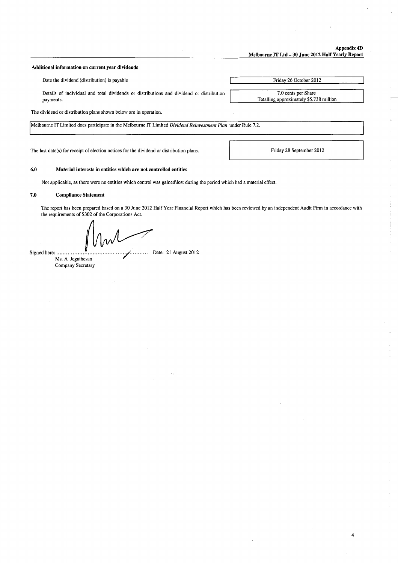### Appendix 4D Melbourne IT Ltd - 30 June 2012 Half Yearly Report

### Additional information on current year dividends

Date the dividend (distribution) is payable

Details of individual and total dividends or distributions and dividend or distribution payments.

7.0 cents per Share Totalling approximately \$5.738 million

Friday 26 October 2012

The dividend or distribution plans shown below are in operation.

Melbourne IT Limited does participate in the Melbourne IT Limited Dividend Reinvestment Plan under Rule 7.2.

The last date(s) for receipt of election notices for the dividend or distribution plans.

Friday 28 September 2012

4

### $6.0$ Material interests in entities which are not controlled entities

Not applicable, as there were no entities which control was gained\lost during the period which had a material effect.

### $7.0$ **Compliance Statement**

The report has been prepared based on a 30 June 2012 Half Year Financial Report which has been reviewed by an independent Audit Firm in accordance with the requirements of S302 of the Corporations Act.

Signed here: .......... Ms. A Jegathesan Company Secretary Date: 21 August 2012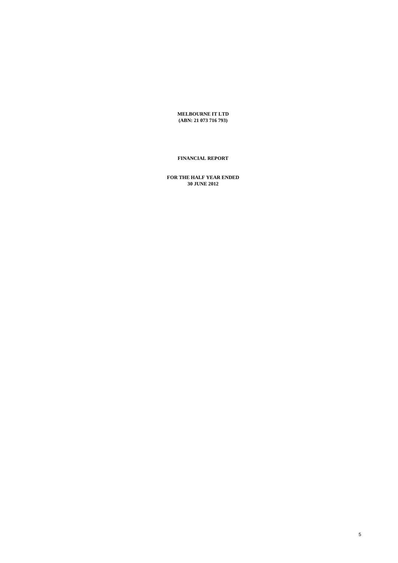**MELBOURNE IT LTD (ABN: 21 073 716 793)**

# **FINANCIAL REPORT**

**FOR THE HALF YEAR ENDED 30 JUNE 2012**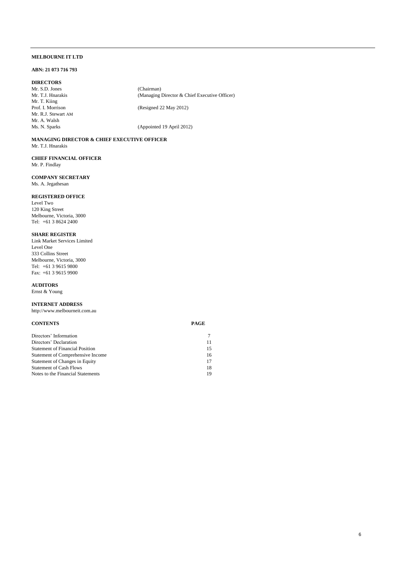### **ABN: 21 073 716 793**

### **DIRECTORS**

Mr. S.D. Jones (Chairman)<br>Mr. T.J. Hnarakis (Managing ) Mr. T. Kiing<br>Prof. I. Morrison Mr. R.J. Stewart AM Mr. A. Walsh

(Resigned 22 May 2012)

(Managing Director & Chief Executive Officer)

(Appointed 19 April 2012)

### **MANAGING DIRECTOR & CHIEF EXECUTIVE OFFICER** Mr. T.J. Hnarakis

**CHIEF FINANCIAL OFFICER**  Mr. P. Findlay

### **COMPANY SECRETARY** Ms. A. Jegathesan

### **REGISTERED OFFICE**

Level Two 120 King Street Melbourne, Victoria, 3000 Tel: +61 3 8624 2400

### **SHARE REGISTER**

Link Market Services Limited Level One 333 Collins Street Melbourne, Victoria, 3000 Tel: +61 3 9615 9800 Fax: +61 3 9615 9900

### **AUDITORS** Ernst & Young

**INTERNET ADDRESS** http://www.melbourneit.com.au

### **CONTENTS PAGE**

| Directors' Information                 |    |
|----------------------------------------|----|
| Directors' Declaration                 | 11 |
| <b>Statement of Financial Position</b> | 15 |
| Statement of Comprehensive Income      | 16 |
| Statement of Changes in Equity         | 17 |
| <b>Statement of Cash Flows</b>         | 18 |
| Notes to the Financial Statements      | 19 |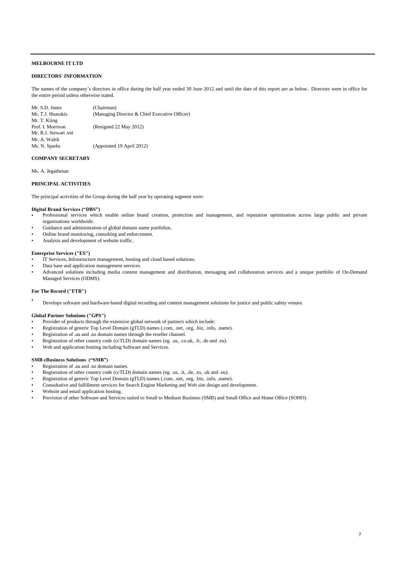### **DIRECTORS' INFORMATION**

The names of the company's directors in office during the half year ended 30 June 2012 and until the date of this report are as below. Directors were in office for the entire period unless otherwise stated.

| (Chairman)                                    |
|-----------------------------------------------|
| (Managing Director & Chief Executive Officer) |
|                                               |
| (Resigned 22 May 2012)                        |
|                                               |
|                                               |
| (Appointed 19 April 2012)                     |
|                                               |

### **COMPANY SECRETARY**

Ms. A. Jegathesan

### **PRINCIPAL ACTIVITIES**

The principal activities of the Group during the half year by operating segment were:

### **Digital Brand Services ("DBS")**

- Professional services which enable online brand creation, protection and management, and reputation optimisation across large public and private organisations worldwide.
- Guidance and administration of global domain name portfolios.
- Online brand monitoring, consulting and enforcement.
- Analysis and development of website traffic.

### **Enterprise Services ("ES")**

- IT Services, Infrastructure management, hosting and cloud based solutions.
- Data base and application management services.
- Advanced solutions including media content management and distribution, messaging and collaboration services and a unique portfolio of On-Demand Managed Services (ODMS).

### **For The Record ("FTR")**

• Develops software and hardware-based digital recording and content management solutions for justice and public safety venues.

### **Global Partner Solutions ("GPS")**

- Provider of products through the extensive global network of partners which include:
- Registration of generic Top Level Domain (gTLD) names (.com, .net, .org, .biz, .info, .name).
- Registration of .au and .nz domain names through the reseller channel.
- Registration of other country code (ccTLD) domain names (eg. .us, .co.uk, .fr, .de and .eu).
- Web and application hosting including Software and Services.

### **SMB eBusiness Solutions ("SMB")**

- Registration of .au and .nz domain names.
- Registration of other country code (ccTLD) domain names (eg. .us, .it, .de, .to, .uk and .eu).
- Registration of generic Top Level Domain (gTLD) names (.com, .net, .org, .biz, .info, .name).
- Consultative and fulfillment services for Search Engine Marketing and Web site design and development.
- Website and email application hosting.
- Provision of other Software and Services suited to Small to Medium Business (SMB) and Small Office and Home Office (SOHO).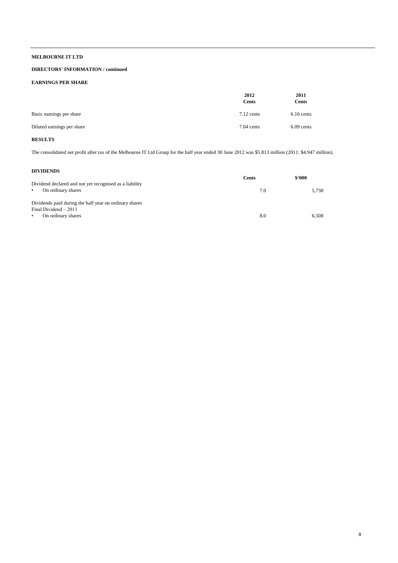## **DIRECTORS' INFORMATION / continued**

### **EARNINGS PER SHARE**

|                            | 2012<br><b>Cents</b> | 2011<br><b>Cents</b> |
|----------------------------|----------------------|----------------------|
| Basic earnings per share   | $7.12$ cents         | $6.16$ cents         |
| Diluted earnings per share | $7.04$ cents         | $6.09$ cents         |

# **RESULTS**

The consolidated net profit after tax of the Melbourne IT Ltd Group for the half year ended 30 June 2012 was \$5.813 million (2011: \$4.947 million).

### **DIVIDENDS**

|                                                                                            | <b>Cents</b> | \$.000 |
|--------------------------------------------------------------------------------------------|--------------|--------|
| Dividend declared and not yet recognised as a liability<br>On ordinary shares<br>$\bullet$ | 7.0          | 5.738  |
| Dividends paid during the half year on ordinary shares                                     |              |        |
| Final Dividend - 2011<br>On ordinary shares<br>$\bullet$                                   | 8.0          | 6.508  |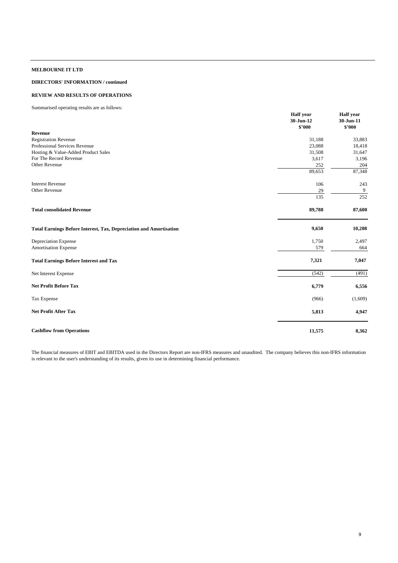## **DIRECTORS' INFORMATION / continued**

## **REVIEW AND RESULTS OF OPERATIONS**

Summarised operating results are as follows:

|                                                                           | <b>Half</b> year<br>30-Jun-12<br>\$2000 | <b>Half</b> year<br>30-Jun-11<br>\$'000 |
|---------------------------------------------------------------------------|-----------------------------------------|-----------------------------------------|
| Revenue                                                                   |                                         |                                         |
| <b>Registration Revenue</b>                                               | 31,188                                  | 33,883                                  |
| Professional Services Revenue                                             | 23,088                                  | 18,418                                  |
| Hosting & Value-Added Product Sales                                       | 31,508                                  | 31,647                                  |
| For The Record Revenue                                                    | 3,617                                   | 3,196                                   |
| Other Revenue                                                             | 252                                     | 204                                     |
|                                                                           | 89,653                                  | 87,348                                  |
| <b>Interest Revenue</b>                                                   | 106                                     | 243                                     |
| <b>Other Revenue</b>                                                      | 29                                      | 9                                       |
|                                                                           | 135                                     | 252                                     |
| <b>Total consolidated Revenue</b>                                         | 89,788                                  | 87,600                                  |
| <b>Total Earnings Before Interest, Tax, Depreciation and Amortisation</b> | 9,650                                   | 10,208                                  |
| Depreciation Expense                                                      | 1,750                                   | 2,497                                   |
| <b>Amortisation Expense</b>                                               | 579                                     | 664                                     |
| <b>Total Earnings Before Interest and Tax</b>                             | 7,321                                   | 7,047                                   |
| Net Interest Expense                                                      | (542)                                   | (491)                                   |
| <b>Net Profit Before Tax</b>                                              | 6,779                                   | 6,556                                   |
| Tax Expense                                                               | (966)                                   | (1,609)                                 |
| <b>Net Profit After Tax</b>                                               | 5,813                                   | 4,947                                   |
| <b>Cashflow from Operations</b>                                           | 11,575                                  | 8,362                                   |

The financial measures of EBIT and EBITDA used in the Directors Report are non-IFRS measures and unaudited. The company believes this non-IFRS information is relevant to the user's understanding of its results, given its use in determining financial performance.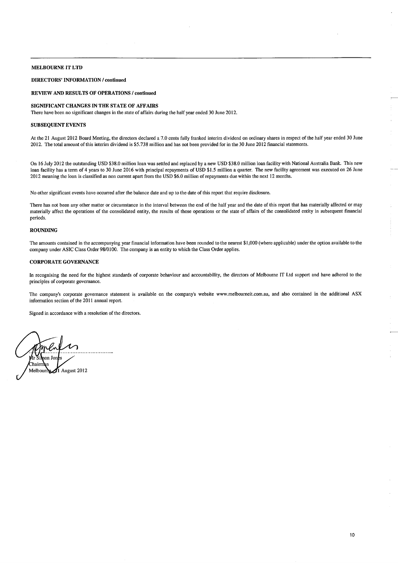### **DIRECTORS' INFORMATION / continued**

### **REVIEW AND RESULTS OF OPERATIONS / continued**

### SIGNIFICANT CHANGES IN THE STATE OF AFFAIRS

There have been no significant changes in the state of affairs during the half year ended 30 June 2012.

### **SUBSEQUENT EVENTS**

At the 21 August 2012 Board Meeting, the directors declared a 7.0 cents fully franked interim dividend on ordinary shares in respect of the half year ended 30 June 2012. The total amount of this interim dividend is \$5.738 million and has not been provided for in the 30 June 2012 financial statements.

On 16 July 2012 the outstanding USD \$38.0 million loan was settled and replaced by a new USD \$38.0 million loan facility with National Australia Bank. This new loan facility has a term of 4 years to 30 June 2016 with principal repayments of USD \$1.5 million a quarter. The new facility agreement was executed on 26 June 2012 meaning the loan is classified as non current apart from the USD \$6.0 million of repayments due within the next 12 months.

No other significant events have occurred after the balance date and up to the date of this report that require disclosure.

There has not been any other matter or circumstance in the interval between the end of the half year and the date of this report that has materially affected or may materially affect the operations of the consolidated entity, the results of those operations or the state of affairs of the consolidated entity in subsequent financial neriods

### **ROUNDING**

The amounts contained in the accompanying year financial information have been rounded to the nearest \$1,000 (where applicable) under the option available to the company under ASIC Class Order 98/0100. The company is an entity to which the Class Order applies.

### **CORPORATE GOVERNANCE**

In recognising the need for the highest standards of corporate behaviour and accountability, the directors of Melbourne IT Ltd support and have adhered to the principles of corporate governance.

The company's corporate governance statement is available on the company's website www.melbourneit.com.au, and also contained in the additional ASX information section of the 2011 annual report.

Signed in accordance with a resolution of the directors.

v⁄r ≷i baan Ta Chairmen  $\mathcal{J}$ l August 2012 Melbourn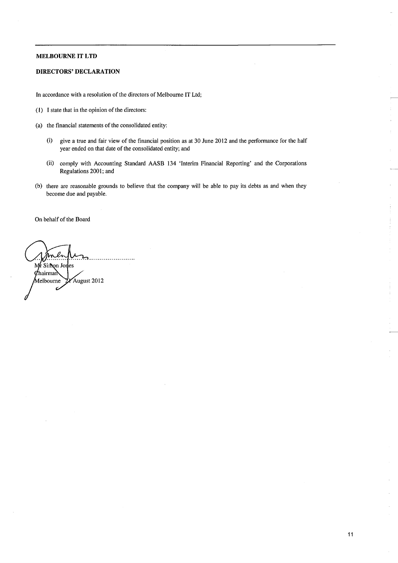## **DIRECTORS' DECLARATION**

In accordance with a resolution of the directors of Melbourne IT Ltd;

- (1) I state that in the opinion of the directors:
- (a) the financial statements of the consolidated entity:
	- give a true and fair view of the financial position as at 30 June 2012 and the performance for the half  $(i)$ year ended on that date of the consolidated entity; and
	- $(ii)$ comply with Accounting Standard AASB 134 'Interim Financial Reporting' and the Corporations Regulations 2001; and
- (b) there are reasonable grounds to believe that the company will be able to pay its debts as and when they become due and payable.

On behalf of the Board

 $\ell$ m Mr Simon Jones  $d$ hairman August 2012 Melbourne ż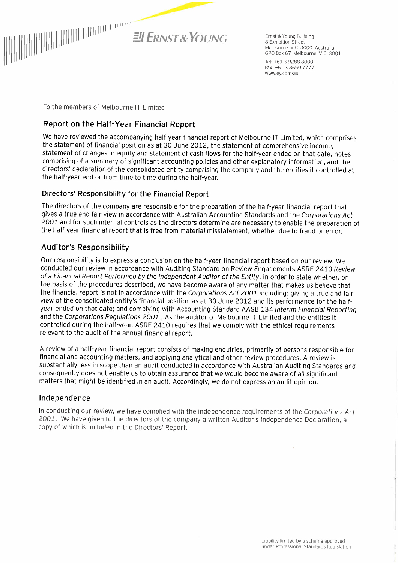

Ernst & Young Building 8 Exhibition Street Melbourne VIC 3000 Australia GPO Box 67 Melbourne VIC 3001

Tel: +61 3 9288 8000 Fax: +61 3 8650 7777 www.ey.com/au

To the members of Melbourne IT I imited

# Report on the Half-Year Financial Report

We have reviewed the accompanying half-year financial report of Melbourne IT Limited, which comprises the statement of financial position as at 30 June 2012, the statement of comprehensive income. statement of changes in equity and statement of cash flows for the half-year ended on that date, notes comprising of a summary of significant accounting policies and other explanatory information, and the directors' declaration of the consolidated entity comprising the company and the entities it controlled at the half-year end or from time to time during the half-year.

# Directors' Responsibility for the Financial Report

The directors of the company are responsible for the preparation of the half-year financial report that gives a true and fair view in accordance with Australian Accounting Standards and the Corporations Act 2001 and for such internal controls as the directors determine are necessary to enable the preparation of the half-year financial report that is free from material misstatement, whether due to fraud or error.

# **Auditor's Responsibility**

Our responsibility is to express a conclusion on the half-year financial report based on our review. We conducted our review in accordance with Auditing Standard on Review Engagements ASRE 2410 Review of a Financial Report Performed by the Independent Auditor of the Entity, in order to state whether, on the basis of the procedures described, we have become aware of any matter that makes us believe that the financial report is not in accordance with the Corporations Act 2001 including: giving a true and fair view of the consolidated entity's financial position as at 30 June 2012 and its performance for the halfyear ended on that date; and complying with Accounting Standard AASB 134 Interim Financial Reporting and the Corporations Regulations 2001. As the auditor of Melbourne IT Limited and the entities it controlled during the half-year, ASRE 2410 requires that we comply with the ethical requirements relevant to the audit of the annual financial report.

A review of a half-year financial report consists of making enguiries, primarily of persons responsible for financial and accounting matters, and applying analytical and other review procedures. A review is substantially less in scope than an audit conducted in accordance with Australian Auditing Standards and consequently does not enable us to obtain assurance that we would become aware of all significant matters that might be identified in an audit. Accordingly, we do not express an audit opinion.

# Independence

In conducting our review, we have complied with the independence requirements of the Corporations Act 2001. We have given to the directors of the company a written Auditor's Independence Declaration, a copy of which is included in the Directors' Report.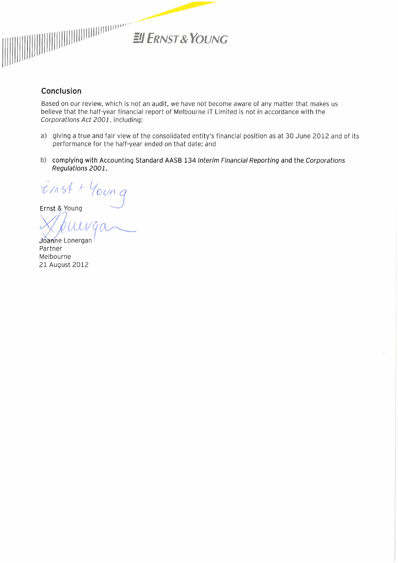

# Conclusion

Based on our review, which is not an audit, we have not become aware of any matter that makes us believe that the half-year financial report of Melbourne IT Limited is not in accordance with the Corporations Act 2001, including:

- a) giving a true and fair view of the consolidated entity's financial position as at 30 June 2012 and of its performance for the half-year ended on that date; and
- b) complying with Accounting Standard AASB 134 Interim Financial Reporting and the Corporations Regulations 2001.

 $E$ 1154 + Young

Ernst & Young

Joanne Lonergan Partner Melbourne 21 August 2012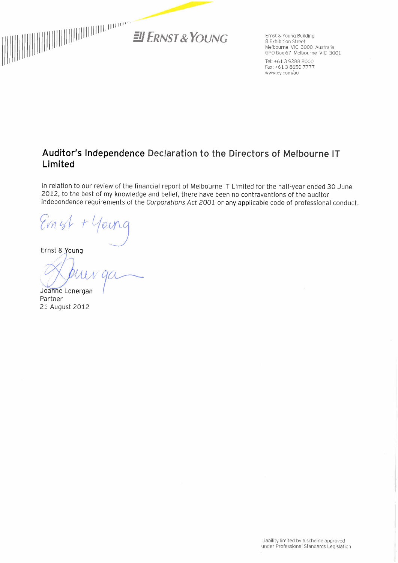

Ernst & Young Building 8 Exhibition Street Melbourne VIC 3000 Australia GPO Box 67 Melbourne VIC 3001

Tel: +61 3 9288 8000 Fax: +61 3 8650 7777 www.ey.com/au

# Auditor's Independence Declaration to the Directors of Melbourne IT Limited

In relation to our review of the financial report of Melbourne IT Limited for the half-year ended 30 June 2012, to the best of my knowledge and belief, there have been no contraventions of the auditor independence requirements of the Corporations Act 2001 or any applicable code of professional conduct.

Evnst

Ernst & Young

Joanne Lonergan Partner 21 August 2012

Liability limited by a scheme approved under Professional Standards Legislation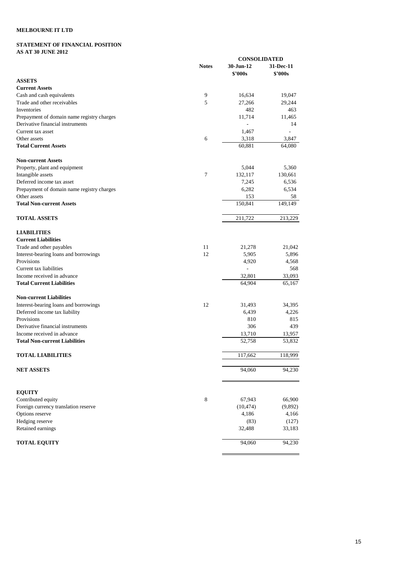# **STATEMENT OF FINANCIAL POSITION AS AT 30 JUNE 2012**

|                                            |                | <b>CONSOLIDATED</b>         |                             |  |
|--------------------------------------------|----------------|-----------------------------|-----------------------------|--|
|                                            | <b>Notes</b>   | 30-Jun-12<br><b>\$'000s</b> | 31-Dec-11<br><b>\$'000s</b> |  |
| <b>ASSETS</b>                              |                |                             |                             |  |
| <b>Current Assets</b>                      |                |                             |                             |  |
| Cash and cash equivalents                  | 9              | 16,634                      | 19,047                      |  |
| Trade and other receivables                | 5              | 27,266                      | 29,244                      |  |
| Inventories                                |                | 482                         | 463                         |  |
| Prepayment of domain name registry charges |                | 11,714                      | 11,465                      |  |
| Derivative financial instruments           |                |                             | 14                          |  |
| Current tax asset                          |                | 1,467                       |                             |  |
| Other assets                               | 6              | 3,318                       | 3,847                       |  |
| <b>Total Current Assets</b>                |                | 60,881                      | 64,080                      |  |
| <b>Non-current Assets</b>                  |                |                             |                             |  |
| Property, plant and equipment              |                | 5,044                       | 5,360                       |  |
| Intangible assets                          | $\overline{7}$ | 132,117                     | 130,661                     |  |
| Deferred income tax asset                  |                | 7,245                       | 6,536                       |  |
| Prepayment of domain name registry charges |                | 6,282                       | 6,534                       |  |
| Other assets                               |                | 153                         | 58                          |  |
| <b>Total Non-current Assets</b>            |                | 150,841                     | 149,149                     |  |
| <b>TOTAL ASSETS</b>                        |                | 211,722                     | 213,229                     |  |
| <b>LIABILITIES</b>                         |                |                             |                             |  |
| <b>Current Liabilities</b>                 |                |                             |                             |  |
| Trade and other payables                   | 11             | 21,278                      | 21,042                      |  |
| Interest-bearing loans and borrowings      | 12             | 5,905                       | 5,896                       |  |
| Provisions                                 |                | 4,920                       | 4,568                       |  |
| Current tax liabilities                    |                |                             | 568                         |  |
| Income received in advance                 |                | 32,801                      | 33,093                      |  |
| <b>Total Current Liabilities</b>           |                | 64,904                      | 65,167                      |  |
| <b>Non-current Liabilities</b>             |                |                             |                             |  |
| Interest-bearing loans and borrowings      | 12             | 31,493                      | 34,395                      |  |
| Deferred income tax liability              |                | 6,439                       | 4,226                       |  |
| Provisions                                 |                | 810                         | 815                         |  |
| Derivative financial instruments           |                | 306                         | 439                         |  |
| Income received in advance                 |                | 13,710                      | 13,957                      |  |
| <b>Total Non-current Liabilities</b>       |                | 52,758                      | 53,832                      |  |
| <b>TOTAL LIABILITIES</b>                   |                | 117,662                     | 118,999                     |  |
| <b>NET ASSETS</b>                          |                | 94,060                      | 94,230                      |  |
| <b>EQUITY</b>                              |                |                             |                             |  |
| Contributed equity                         | $\,8\,$        | 67,943                      | 66,900                      |  |
| Foreign currency translation reserve       |                | (10, 474)                   | (9,892)                     |  |
| Options reserve                            |                | 4,186                       | 4,166                       |  |
| Hedging reserve                            |                | (83)                        | (127)                       |  |
| Retained earnings                          |                | 32,488                      | 33,183                      |  |
| <b>TOTAL EQUITY</b>                        |                | 94,060                      | 94,230                      |  |
|                                            |                |                             |                             |  |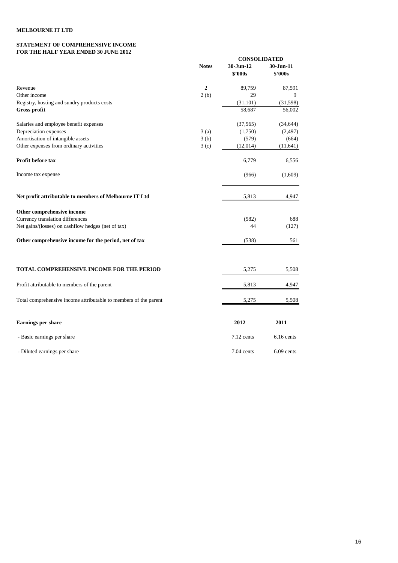### **STATEMENT OF COMPREHENSIVE INCOME FOR THE HALF YEAR ENDED 30 JUNE 2012**

|                                                                  |                  | <b>CONSOLIDATED</b>  |                            |  |
|------------------------------------------------------------------|------------------|----------------------|----------------------------|--|
|                                                                  | <b>Notes</b>     | 30-Jun-12<br>\$'000s | 30-Jun-11<br><b>S'000s</b> |  |
| Revenue                                                          | $\overline{c}$   | 89,759               | 87,591                     |  |
| Other income                                                     | 2(b)             | 29                   | 9                          |  |
| Registry, hosting and sundry products costs                      |                  | (31, 101)            | (31,598)                   |  |
| <b>Gross profit</b>                                              |                  | 58,687               | 56,002                     |  |
| Salaries and employee benefit expenses                           |                  | (37, 565)            | (34, 644)                  |  |
| Depreciation expenses                                            | 3(a)             | (1,750)              | (2, 497)                   |  |
| Amortisation of intangible assets                                | 3(b)             | (579)                | (664)                      |  |
| Other expenses from ordinary activities                          | 3 <sub>(c)</sub> | (12,014)             | (11, 641)                  |  |
| Profit before tax                                                |                  | 6,779                | 6,556                      |  |
| Income tax expense                                               |                  | (966)                | (1,609)                    |  |
| Net profit attributable to members of Melbourne IT Ltd           |                  | 5,813                | 4,947                      |  |
| Other comprehensive income                                       |                  |                      |                            |  |
| Currency translation differences                                 |                  | (582)                | 688                        |  |
| Net gains/(losses) on cashflow hedges (net of tax)               |                  | 44                   | (127)                      |  |
| Other comprehensive income for the period, net of tax            |                  | (538)                | 561                        |  |
| <b>TOTAL COMPREHENSIVE INCOME FOR THE PERIOD</b>                 |                  | 5,275                | 5,508                      |  |
| Profit attributable to members of the parent                     |                  | 5,813                | 4,947                      |  |
| Total comprehensive income attributable to members of the parent |                  | 5,275                | 5,508                      |  |
| <b>Earnings per share</b>                                        |                  | 2012                 | 2011                       |  |
| - Basic earnings per share                                       |                  | 7.12 cents           | 6.16 cents                 |  |
| - Diluted earnings per share                                     |                  | $7.04$ cents         | $6.09$ cents               |  |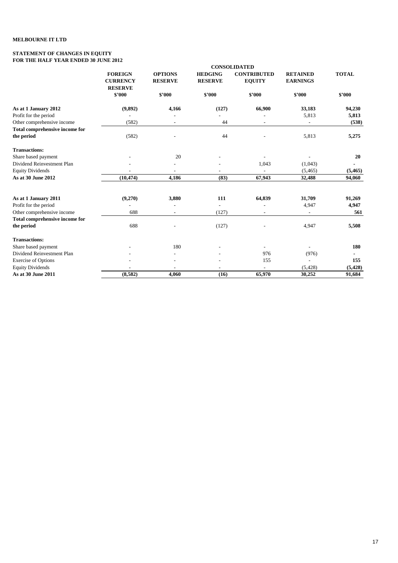### **STATEMENT OF CHANGES IN EQUITY FOR THE HALF YEAR ENDED 30 JUNE 2012**

|                                       | <b>CONSOLIDATED</b>                                 |                                  |                                  |                                     |                                    |              |  |  |  |
|---------------------------------------|-----------------------------------------------------|----------------------------------|----------------------------------|-------------------------------------|------------------------------------|--------------|--|--|--|
|                                       | <b>FOREIGN</b><br><b>CURRENCY</b><br><b>RESERVE</b> | <b>OPTIONS</b><br><b>RESERVE</b> | <b>HEDGING</b><br><b>RESERVE</b> | <b>CONTRIBUTED</b><br><b>EQUITY</b> | <b>RETAINED</b><br><b>EARNINGS</b> | <b>TOTAL</b> |  |  |  |
|                                       | \$'000                                              | \$'000                           | \$'000                           | \$'000                              | \$2000                             | \$'000       |  |  |  |
| As at 1 January 2012                  | (9, 892)                                            | 4,166                            | (127)                            | 66,900                              | 33,183                             | 94,230       |  |  |  |
| Profit for the period                 |                                                     |                                  |                                  |                                     | 5,813                              | 5,813        |  |  |  |
| Other comprehensive income            | (582)                                               | $\overline{\phantom{a}}$         | 44                               | $\overline{\phantom{a}}$            | $\overline{a}$                     | (538)        |  |  |  |
| <b>Total comprehensive income for</b> |                                                     |                                  |                                  |                                     |                                    |              |  |  |  |
| the period                            | (582)                                               |                                  | 44                               |                                     | 5,813                              | 5,275        |  |  |  |
| <b>Transactions:</b>                  |                                                     |                                  |                                  |                                     |                                    |              |  |  |  |
| Share based payment                   |                                                     | 20                               |                                  |                                     |                                    | 20           |  |  |  |
| Dividend Reinvestment Plan            |                                                     |                                  |                                  | 1,043                               | (1,043)                            |              |  |  |  |
| <b>Equity Dividends</b>               |                                                     |                                  |                                  |                                     | (5, 465)                           | (5, 465)     |  |  |  |
| As at 30 June 2012                    | (10, 474)                                           | 4,186                            | (83)                             | 67,943                              | 32,488                             | 94,060       |  |  |  |
| As at 1 January 2011                  | (9,270)                                             | 3,880                            | 111                              | 64,839                              | 31,709                             | 91,269       |  |  |  |
| Profit for the period                 |                                                     |                                  | $\overline{\phantom{a}}$         |                                     | 4,947                              | 4,947        |  |  |  |
| Other comprehensive income            | 688                                                 |                                  | (127)                            |                                     |                                    | 561          |  |  |  |
| <b>Total comprehensive income for</b> |                                                     |                                  |                                  |                                     |                                    |              |  |  |  |
| the period                            | 688                                                 |                                  | (127)                            |                                     | 4,947                              | 5,508        |  |  |  |
| <b>Transactions:</b>                  |                                                     |                                  |                                  |                                     |                                    |              |  |  |  |
| Share based payment                   |                                                     | 180                              |                                  |                                     |                                    | 180          |  |  |  |
| Dividend Reinvestment Plan            |                                                     | $\overline{\phantom{a}}$         |                                  | 976                                 | (976)                              |              |  |  |  |
| <b>Exercise of Options</b>            |                                                     |                                  |                                  | 155                                 |                                    | 155          |  |  |  |
| <b>Equity Dividends</b>               |                                                     |                                  |                                  |                                     | (5, 428)                           | (5, 428)     |  |  |  |
| As at 30 June 2011                    | (8,582)                                             | 4.060                            | (16)                             | 65,970                              | 30,252                             | 91,684       |  |  |  |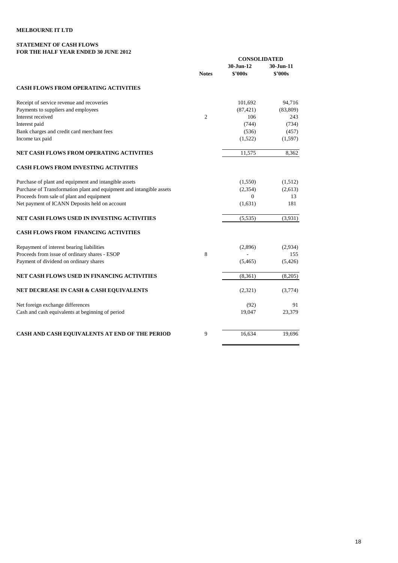# **STATEMENT OF CASH FLOWS FOR THE HALF YEAR ENDED 30 JUNE 2012**

|                                                                      |                |                      | <b>CONSOLIDATED</b>        |  |  |
|----------------------------------------------------------------------|----------------|----------------------|----------------------------|--|--|
|                                                                      | <b>Notes</b>   | 30-Jun-12<br>\$2000s | 30-Jun-11<br><b>S'000s</b> |  |  |
|                                                                      |                |                      |                            |  |  |
| <b>CASH FLOWS FROM OPERATING ACTIVITIES</b>                          |                |                      |                            |  |  |
| Receipt of service revenue and recoveries                            |                | 101,692              | 94.716                     |  |  |
| Payments to suppliers and employees                                  |                | (87, 421)            | (83, 809)                  |  |  |
| Interest received                                                    | $\overline{c}$ | 106                  | 243                        |  |  |
| Interest paid                                                        |                | (744)                | (734)                      |  |  |
| Bank charges and credit card merchant fees                           |                | (536)                | (457)                      |  |  |
| Income tax paid                                                      |                | (1,522)              | (1, 597)                   |  |  |
| NET CASH FLOWS FROM OPERATING ACTIVITIES                             |                | 11,575               | 8,362                      |  |  |
| <b>CASH FLOWS FROM INVESTING ACTIVITIES</b>                          |                |                      |                            |  |  |
| Purchase of plant and equipment and intangible assets                |                | (1,550)              | (1,512)                    |  |  |
| Purchase of Transformation plant and equipment and intangible assets |                | (2,354)              | (2,613)                    |  |  |
| Proceeds from sale of plant and equipment                            |                | $\Omega$             | 13                         |  |  |
| Net payment of ICANN Deposits held on account                        |                | (1,631)              | 181                        |  |  |
| NET CASH FLOWS USED IN INVESTING ACTIVITIES                          |                | (5,535)              | (3,931)                    |  |  |
| <b>CASH FLOWS FROM FINANCING ACTIVITIES</b>                          |                |                      |                            |  |  |
| Repayment of interest bearing liabilities                            |                | (2,896)              | (2,934)                    |  |  |
| Proceeds from issue of ordinary shares - ESOP                        | 8              |                      | 155                        |  |  |
| Payment of dividend on ordinary shares                               |                | (5, 465)             | (5,426)                    |  |  |
| NET CASH FLOWS USED IN FINANCING ACTIVITIES                          |                | (8,361)              | (8,205)                    |  |  |
| NET DECREASE IN CASH & CASH EQUIVALENTS                              |                | (2,321)              | (3,774)                    |  |  |
| Net foreign exchange differences                                     |                | (92)                 | 91                         |  |  |
| Cash and cash equivalents at beginning of period                     |                | 19,047               | 23,379                     |  |  |
| CASH AND CASH EQUIVALENTS AT END OF THE PERIOD                       | 9              | 16,634               | 19,696                     |  |  |
|                                                                      |                |                      |                            |  |  |

 $\overline{a}$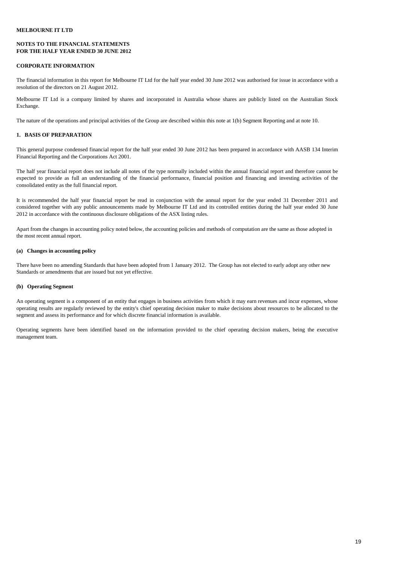## **NOTES TO THE FINANCIAL STATEMENTS FOR THE HALF YEAR ENDED 30 JUNE 2012**

### **CORPORATE INFORMATION**

The financial information in this report for Melbourne IT Ltd for the half year ended 30 June 2012 was authorised for issue in accordance with a resolution of the directors on 21 August 2012.

Melbourne IT Ltd is a company limited by shares and incorporated in Australia whose shares are publicly listed on the Australian Stock Exchange.

The nature of the operations and principal activities of the Group are described within this note at 1(b) Segment Reporting and at note 10.

# **1. BASIS OF PREPARATION**

This general purpose condensed financial report for the half year ended 30 June 2012 has been prepared in accordance with AASB 134 Interim Financial Reporting and the Corporations Act 2001.

The half year financial report does not include all notes of the type normally included within the annual financial report and therefore cannot be expected to provide as full an understanding of the financial performance, financial position and financing and investing activities of the consolidated entity as the full financial report.

It is recommended the half year financial report be read in conjunction with the annual report for the year ended 31 December 2011 and considered together with any public announcements made by Melbourne IT Ltd and its controlled entities during the half year ended 30 June 2012 in accordance with the continuous disclosure obligations of the ASX listing rules.

Apart from the changes in accounting policy noted below, the accounting policies and methods of computation are the same as those adopted in the most recent annual report.

### **(a) Changes in accounting policy**

There have been no amending Standards that have been adopted from 1 January 2012. The Group has not elected to early adopt any other new Standards or amendments that are issued but not yet effective.

### **(b) Operating Segment**

An operating segment is a component of an entity that engages in business activities from which it may earn revenues and incur expenses, whose operating results are regularly reviewed by the entity's chief operating decision maker to make decisions about resources to be allocated to the segment and assess its performance and for which discrete financial information is available.

Operating segments have been identified based on the information provided to the chief operating decision makers, being the executive management team.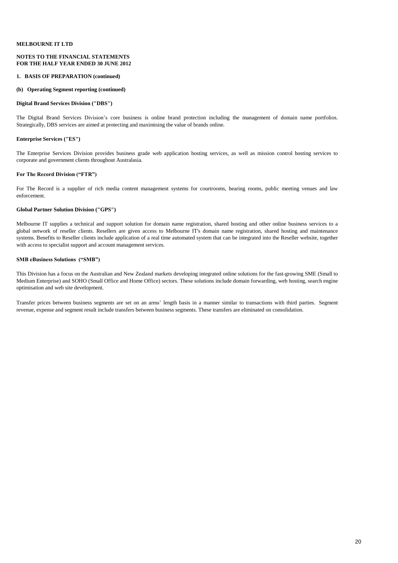### **NOTES TO THE FINANCIAL STATEMENTS FOR THE HALF YEAR ENDED 30 JUNE 2012**

### **1. BASIS OF PREPARATION (continued)**

### **(b) Operating Segment reporting (continued)**

### **Digital Brand Services Division ("DBS")**

The Digital Brand Services Division's core business is online brand protection including the management of domain name portfolios. Strategically, DBS services are aimed at protecting and maximising the value of brands online.

### **Enterprise Services ("ES")**

The Enterprise Services Division provides business grade web application hosting services, as well as mission control hosting services to corporate and government clients throughout Australasia.

### **For The Record Division ("FTR")**

For The Record is a supplier of rich media content management systems for courtrooms, hearing rooms, public meeting venues and law enforcement.

### **Global Partner Solution Division ("GPS")**

Melbourne IT supplies a technical and support solution for domain name registration, shared hosting and other online business services to a global network of reseller clients. Resellers are given access to Melbourne IT's domain name registration, shared hosting and maintenance systems. Benefits to Reseller clients include application of a real time automated system that can be integrated into the Reseller website, together with access to specialist support and account management services.

# **SMB eBusiness Solutions ("SMB")**

This Division has a focus on the Australian and New Zealand markets developing integrated online solutions for the fast-growing SME (Small to Medium Enterprise) and SOHO (Small Office and Home Office) sectors. These solutions include domain forwarding, web hosting, search engine optimisation and web site development.

Transfer prices between business segments are set on an arms' length basis in a manner similar to transactions with third parties. Segment revenue, expense and segment result include transfers between business segments. These transfers are eliminated on consolidation.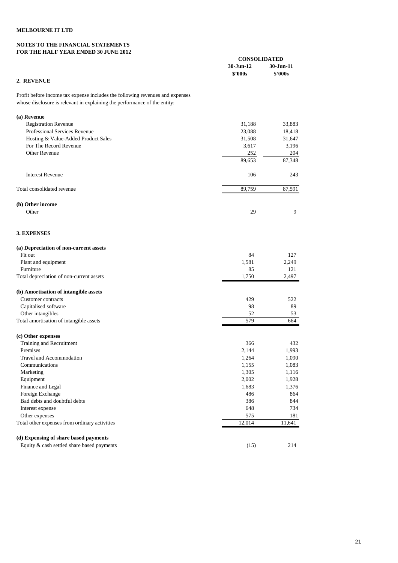### **NOTES TO THE FINANCIAL STATEMENTS FOR THE HALF YEAR ENDED 30 JUNE 2012**

|                                                                               | <b>CONSOLIDATED</b> |              |
|-------------------------------------------------------------------------------|---------------------|--------------|
|                                                                               | 30-Jun-12           | 30-Jun-11    |
|                                                                               | \$'000s             | \$'000s      |
| 2. REVENUE                                                                    |                     |              |
| Profit before income tax expense includes the following revenues and expenses |                     |              |
| whose disclosure is relevant in explaining the performance of the entity:     |                     |              |
| (a) Revenue                                                                   |                     |              |
| <b>Registration Revenue</b>                                                   | 31,188              | 33,883       |
| Professional Services Revenue                                                 | 23,088              | 18,418       |
| Hosting & Value-Added Product Sales                                           | 31,508              | 31,647       |
| For The Record Revenue                                                        | 3,617               | 3,196        |
| Other Revenue                                                                 | 252                 | 204          |
|                                                                               | 89,653              | 87,348       |
| <b>Interest Revenue</b>                                                       | 106                 | 243          |
|                                                                               |                     |              |
| Total consolidated revenue                                                    | 89,759              | 87,591       |
| (b) Other income                                                              |                     |              |
| Other                                                                         | 29                  | 9            |
| <b>3. EXPENSES</b>                                                            |                     |              |
|                                                                               |                     |              |
| (a) Depreciation of non-current assets                                        |                     |              |
| Fit out                                                                       | 84                  | 127          |
| Plant and equipment                                                           | 1,581               | 2,249        |
| Furniture<br>Total depreciation of non-current assets                         | 85<br>1,750         | 121<br>2,497 |
|                                                                               |                     |              |
| (b) Amortisation of intangible assets                                         |                     |              |
| Customer contracts                                                            | 429                 | 522          |
| Capitalised software                                                          | 98                  | 89           |
| Other intangibles                                                             | 52                  | 53           |
| Total amortisation of intangible assets                                       | 579                 | 664          |
| (c) Other expenses                                                            |                     |              |
| Training and Recruitment                                                      | 366                 | 432          |
| Premises                                                                      | 2,144               | 1,993        |
| Travel and Accommodation                                                      | 1,264               | 1,090        |
| Communications                                                                | 1,155               | 1,083        |
| Marketing                                                                     | 1,305               | 1,116        |
| Equipment                                                                     | 2,002               | 1,928        |
| Finance and Legal                                                             | 1,683               | 1,376        |
| Foreign Exchange                                                              | 486                 | 864          |
| Bad debts and doubtful debts                                                  | 386                 | 844          |
| Interest expense                                                              | 648                 | 734          |
| Other expenses                                                                | 575                 | 181          |
| Total other expenses from ordinary activities                                 | 12,014              | 11,641       |
| (d) Expensing of share based payments                                         |                     |              |
| Equity & cash settled share based payments                                    | (15)                | 214          |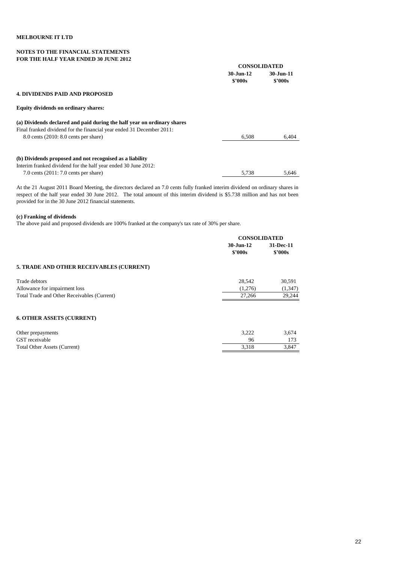# **NOTES TO THE FINANCIAL STATEMENTS FOR THE HALF YEAR ENDED 30 JUNE 2012**

|                                                                         | <b>CONSOLIDATED</b>  |                                |
|-------------------------------------------------------------------------|----------------------|--------------------------------|
|                                                                         | 30-Jun-12<br>\$2000s | $30 - Jun-11$<br><b>S'000s</b> |
| <b>4. DIVIDENDS PAID AND PROPOSED</b>                                   |                      |                                |
| <b>Equity dividends on ordinary shares:</b>                             |                      |                                |
| (a) Dividends declared and paid during the half year on ordinary shares |                      |                                |
| Final franked dividend for the financial year ended 31 December 2011:   |                      |                                |
| $8.0$ cents $(2010: 8.0$ cents per share)                               | 6.508                | 6.404                          |
| (b) Dividends proposed and not recognised as a liability                |                      |                                |
| Interim franked dividend for the half year ended 30 June 2012:          |                      |                                |
| 7.0 cents $(2011: 7.0$ cents per share)                                 | 5.738                | 5.646                          |

At the 21 August 2011 Board Meeting, the directors declared an 7.0 cents fully franked interim dividend on ordinary shares in respect of the half year ended 30 June 2012. The total amount of this interim dividend is \$5.738 million and has not been provided for in the 30 June 2012 financial statements.

# **(c) Franking of dividends**

The above paid and proposed dividends are 100% franked at the company's tax rate of 30% per share.

|                                             | <b>CONSOLIDATED</b> |               |  |
|---------------------------------------------|---------------------|---------------|--|
|                                             | $30 - Jun-12$       | 31-Dec-11     |  |
|                                             | \$2000s             | <b>S'000s</b> |  |
| 5. TRADE AND OTHER RECEIVABLES (CURRENT)    |                     |               |  |
| Trade debtors                               | 28,542              | 30,591        |  |
| Allowance for impairment loss               | (1,276)             | (1, 347)      |  |
| Total Trade and Other Receivables (Current) | 27,266              | 29,244        |  |
| <b>6. OTHER ASSETS (CURRENT)</b>            |                     |               |  |
| Other prepayments                           | 3,222               | 3,674         |  |
| GST receivable                              | 96                  | 173           |  |
| <b>Total Other Assets (Current)</b>         | 3,318               | 3,847         |  |
|                                             |                     |               |  |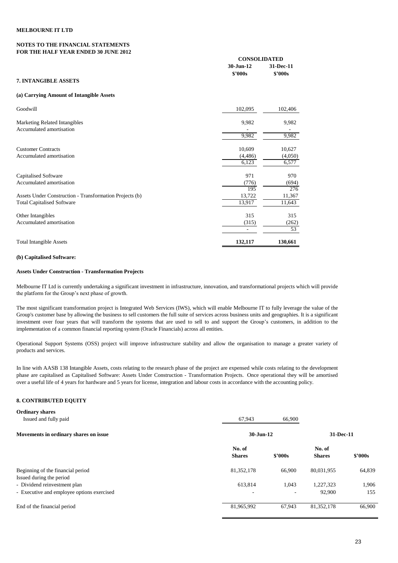### **NOTES TO THE FINANCIAL STATEMENTS FOR THE HALF YEAR ENDED 30 JUNE 2012**

|                                                                  |                      | <b>CONSOLIDATED</b>         |  |  |  |
|------------------------------------------------------------------|----------------------|-----------------------------|--|--|--|
|                                                                  | 30-Jun-12<br>\$'000s | 31-Dec-11<br><b>\$'000s</b> |  |  |  |
| <b>7. INTANGIBLE ASSETS</b>                                      |                      |                             |  |  |  |
| (a) Carrying Amount of Intangible Assets                         |                      |                             |  |  |  |
| Goodwill                                                         | 102,095              | 102,406                     |  |  |  |
| <b>Marketing Related Intangibles</b><br>Accumulated amortisation | 9,982                | 9,982                       |  |  |  |
|                                                                  | 9,982                | 9,982                       |  |  |  |
| <b>Customer Contracts</b>                                        | 10,609               | 10,627                      |  |  |  |
| Accumulated amortisation                                         | (4, 486)<br>6,123    | (4,050)                     |  |  |  |
|                                                                  |                      | 6,577                       |  |  |  |
| <b>Capitalised Software</b>                                      | 971                  | 970                         |  |  |  |
| Accumulated amortisation                                         | (776)                | (694)                       |  |  |  |
|                                                                  | 195                  | 276                         |  |  |  |
| Assets Under Construction - Transformation Projects (b)          | 13,722               | 11,367                      |  |  |  |
| <b>Total Capitalised Software</b>                                | 13,917               | 11,643                      |  |  |  |
| Other Intangibles                                                | 315                  | 315                         |  |  |  |
| Accumulated amortisation                                         | (315)                | (262)                       |  |  |  |
|                                                                  |                      | 53                          |  |  |  |

Total Intangible Assets **132,117 130,661**

### **(b) Capitalised Software:**

### **Assets Under Construction - Transformation Projects**

Melbourne IT Ltd is currently undertaking a significant investment in infrastructure, innovation, and transformational projects which will provide the platform for the Group's next phase of growth.

The most significant transformation project is Integrated Web Services (IWS), which will enable Melbourne IT to fully leverage the value of the Group's customer base by allowing the business to sell customers the full suite of services across business units and geographies. It is a significant investment over four years that will transform the systems that are used to sell to and support the Group's customers, in addition to the implementation of a common financial reporting system (Oracle Financials) across all entities.

Operational Support Systems (OSS) project will improve infrastructure stability and allow the organisation to manage a greater variety of products and services.

In line with AASB 138 Intangible Assets, costs relating to the research phase of the project are expensed while costs relating to the development phase are capitalised as Capitalised Software: Assets Under Construction - Transformation Projects. Once operational they will be amortised over a useful life of 4 years for hardware and 5 years for license, integration and labour costs in accordance with the accounting policy.

### **8. CONTRIBUTED EQUITY**

| <b>Ordinary shares</b>                                        |                         |         |                         |         |
|---------------------------------------------------------------|-------------------------|---------|-------------------------|---------|
| Issued and fully paid                                         | 67,943                  | 66,900  |                         |         |
| Movements in ordinary shares on issue                         | 30-Jun-12               |         | 31-Dec-11               |         |
|                                                               | No. of<br><b>Shares</b> | \$2000s | No. of<br><b>Shares</b> | \$2000s |
| Beginning of the financial period<br>Issued during the period | 81,352,178              | 66,900  | 80,031,955              | 64,839  |
| - Dividend reinvestment plan                                  | 613,814                 | 1,043   | 1,227,323               | 1,906   |
| - Executive and employee options exercised                    | -                       |         | 92,900                  | 155     |
| End of the financial period                                   | 81,965,992              | 67,943  | 81,352,178              | 66,900  |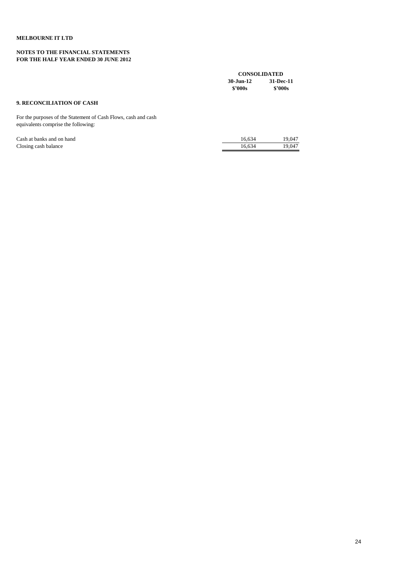# **NOTES TO THE FINANCIAL STATEMENTS FOR THE HALF YEAR ENDED 30 JUNE 2012**

|                                                                                                       | <b>CONSOLIDATED</b>               |                      |  |
|-------------------------------------------------------------------------------------------------------|-----------------------------------|----------------------|--|
|                                                                                                       | $30 - \text{Jun} - 12$<br>\$2000s | 31-Dec-11<br>\$2000s |  |
| <b>9. RECONCILIATION OF CASH</b>                                                                      |                                   |                      |  |
| For the purposes of the Statement of Cash Flows, cash and cash<br>equivalents comprise the following: |                                   |                      |  |
| Cash at banks and on hand                                                                             | 16,634                            | 19,047               |  |
| Closing cash balance                                                                                  | 16,634                            | 19.047               |  |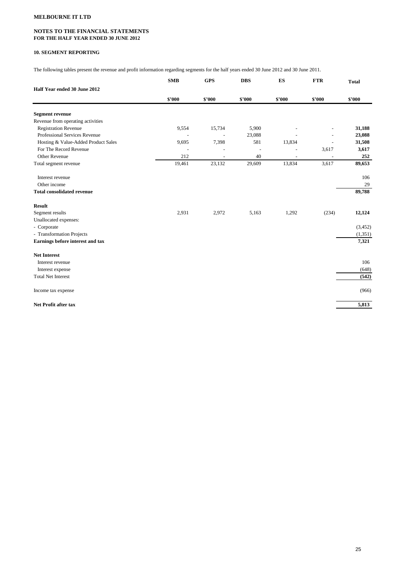## **NOTES TO THE FINANCIAL STATEMENTS FOR THE HALF YEAR ENDED 30 JUNE 2012**

### **10. SEGMENT REPORTING**

The following tables present the revenue and profit information regarding segments for the half years ended 30 June 2012 and 30 June 2011.

|                                     | <b>SMB</b> | <b>GPS</b> | <b>DBS</b> | ES     | <b>FTR</b> | <b>Total</b> |
|-------------------------------------|------------|------------|------------|--------|------------|--------------|
| Half Year ended 30 June 2012        |            |            |            |        |            |              |
|                                     | \$'000     | \$'000     | \$'000     | \$'000 | \$'000     | \$'000       |
| <b>Segment revenue</b>              |            |            |            |        |            |              |
| Revenue from operating activities   |            |            |            |        |            |              |
| <b>Registration Revenue</b>         | 9,554      | 15,734     | 5,900      |        |            | 31,188       |
| Professional Services Revenue       | ÷          | ÷,         | 23,088     |        |            | 23,088       |
| Hosting & Value-Added Product Sales | 9,695      | 7,398      | 581        | 13,834 |            | 31,508       |
| For The Record Revenue              |            |            |            |        | 3,617      | 3,617        |
| Other Revenue                       | 212        |            | 40         |        |            | 252          |
| Total segment revenue               | 19,461     | 23,132     | 29,609     | 13,834 | 3,617      | 89,653       |
| Interest revenue                    |            |            |            |        |            | 106          |
| Other income                        |            |            |            |        |            | 29           |
| <b>Total consolidated revenue</b>   |            |            |            |        |            | 89,788       |
| <b>Result</b>                       |            |            |            |        |            |              |
| Segment results                     | 2,931      | 2,972      | 5,163      | 1,292  | (234)      | 12,124       |
| Unallocated expenses:               |            |            |            |        |            |              |
| - Corporate                         |            |            |            |        |            | (3,452)      |
| - Transformation Projects           |            |            |            |        |            | (1,351)      |
| Earnings before interest and tax    |            |            |            |        |            | 7,321        |
| <b>Net Interest</b>                 |            |            |            |        |            |              |
| Interest revenue                    |            |            |            |        |            | 106          |
| Interest expense                    |            |            |            |        |            | (648)        |
| <b>Total Net Interest</b>           |            |            |            |        |            | (542)        |
| Income tax expense                  |            |            |            |        |            | (966)        |
| <b>Net Profit after tax</b>         |            |            |            |        |            | 5,813        |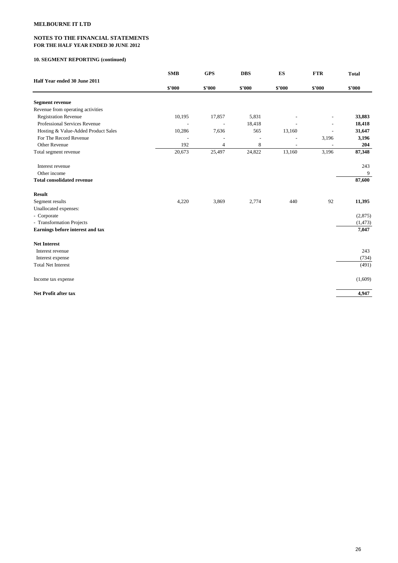## **NOTES TO THE FINANCIAL STATEMENTS FOR THE HALF YEAR ENDED 30 JUNE 2012**

# **10. SEGMENT REPORTING (continued)**

| Half Year ended 30 June 2011        | <b>SMB</b> | <b>GPS</b>     | <b>DBS</b> | ES     | <b>FTR</b> | <b>Total</b> |
|-------------------------------------|------------|----------------|------------|--------|------------|--------------|
|                                     | \$'000     | \$'000         | \$'000     | \$'000 | \$'000     | \$'000       |
| <b>Segment revenue</b>              |            |                |            |        |            |              |
| Revenue from operating activities   |            |                |            |        |            |              |
| <b>Registration Revenue</b>         | 10,195     | 17,857         | 5,831      |        |            | 33,883       |
| Professional Services Revenue       |            | $\overline{a}$ | 18,418     |        |            | 18,418       |
| Hosting & Value-Added Product Sales | 10,286     | 7,636          | 565        | 13,160 |            | 31,647       |
| For The Record Revenue              |            |                |            |        | 3,196      | 3,196        |
| Other Revenue                       | 192        | $\overline{4}$ | 8          |        |            | 204          |
| Total segment revenue               | 20,673     | 25,497         | 24,822     | 13,160 | 3,196      | 87,348       |
| Interest revenue                    |            |                |            |        |            | 243          |
| Other income                        |            |                |            |        |            | 9            |
| <b>Total consolidated revenue</b>   |            |                |            |        |            | 87,600       |
| <b>Result</b>                       |            |                |            |        |            |              |
| Segment results                     | 4,220      | 3,869          | 2,774      | 440    | 92         | 11,395       |
| Unallocated expenses:               |            |                |            |        |            |              |
| - Corporate                         |            |                |            |        |            | (2,875)      |
| - Transformation Projects           |            |                |            |        |            | (1, 473)     |
| Earnings before interest and tax    |            |                |            |        |            | 7,047        |
| <b>Net Interest</b>                 |            |                |            |        |            |              |
| Interest revenue                    |            |                |            |        |            | 243          |
| Interest expense                    |            |                |            |        |            | (734)        |
| <b>Total Net Interest</b>           |            |                |            |        |            | (491)        |
| Income tax expense                  |            |                |            |        |            | (1,609)      |
| <b>Net Profit after tax</b>         |            |                |            |        |            | 4,947        |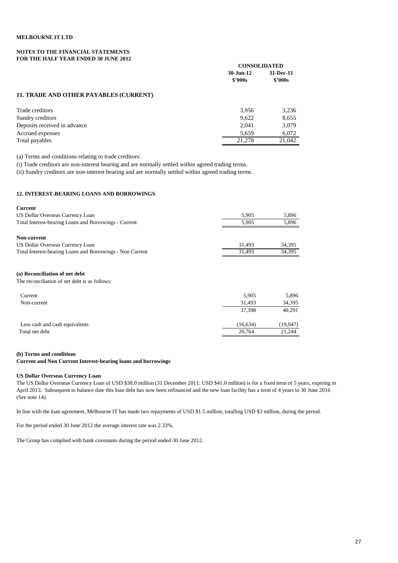### **NOTES TO THE FINANCIAL STATEMENTS FOR THE HALF YEAR ENDED 30 JUNE 2012**

|                                               |               | <b>CONSOLIDATED</b>  |  |
|-----------------------------------------------|---------------|----------------------|--|
|                                               | $30 - Jun-12$ | 31-Dec-11<br>\$2000s |  |
|                                               | \$2000s       |                      |  |
| <b>11. TRADE AND OTHER PAYABLES (CURRENT)</b> |               |                      |  |
| Trade creditors                               | 3,956         | 3,236                |  |
| Sundry creditors                              | 9,622         | 8,655                |  |
| Deposits received in advance                  | 2,041         | 3,079                |  |
| Accrued expenses                              | 5,659         | 6,072                |  |
| Total payables                                | 21,278        | 21,042               |  |

(a) Terms and conditions relating to trade creditors:

(i) Trade creditors are non-interest bearing and are normally settled within agreed trading terms.

(ii) Sundry creditors are non-interest bearing and are normally settled within agreed trading terms.

### **12. INTEREST-BEARING LOANS AND BORROWINGS**

| <b>Current</b>                                            |        |        |
|-----------------------------------------------------------|--------|--------|
| US Dollar Overseas Currency Loan                          | 5,905  | 5,896  |
| Total Interest-bearing Loans and Borrowings - Current     | 5.905  | 5,896  |
| Non-current<br>US Dollar Overseas Currency Loan           | 31.493 | 34,395 |
| Total Interest-bearing Loans and Borrowings - Non Current | 31,493 | 34,395 |
|                                                           |        |        |

# **(a) Reconciliation of net debt**

The reconciliation of net debt is as follows:

| Current                        | 5,905    | 5,896     |
|--------------------------------|----------|-----------|
| Non-current                    | 31.493   | 34,395    |
|                                | 37.398   | 40,291    |
|                                |          |           |
| Less cash and cash equivalents | (16.634) | (19, 047) |
| Total net debt                 | 20.764   | 21,244    |

### **(b) Terms and conditions**

## **Current and Non Current Interest-bearing loans and borrowings**

### **US Dollar Overseas Currency Loan**

The US Dollar Overseas Currency Loan of USD \$38.0 million (31 December 2011: USD \$41.0 million) is for a fixed term of 5 years, expiring in April 2013. Subsequent to balance date this loan debt has now been refinanced and the new loan facility has a term of 4 years to 30 June 2016 (See note 14).

In line with the loan agreement, Melbourne IT has made two repayments of USD \$1.5 million, totalling USD \$3 million, during the period.

For the period ended 30 June 2012 the average interest rate was 2.33%.

The Group has complied with bank covenants during the period ended 30 June 2012.